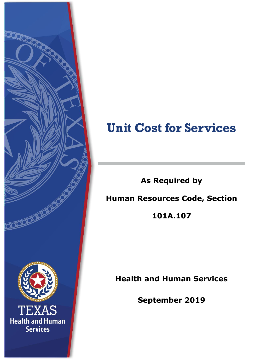

# **Unit Cost for Services**

**As Required by**

## **Human Resources Code, Section**

**101A.107**

**Health and Human Services**

**September 2019**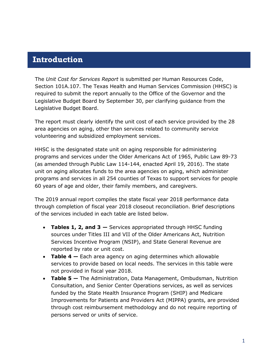### **Introduction**

The *Unit Cost for Services Report* is submitted per Human Resources Code, Section 101A.107. The Texas Health and Human Services Commission (HHSC) is required to submit the report annually to the Office of the Governor and the Legislative Budget Board by September 30, per clarifying guidance from the Legislative Budget Board.

The report must clearly identify the unit cost of each service provided by the 28 area agencies on aging, other than services related to community service volunteering and subsidized employment services.

HHSC is the designated state unit on aging responsible for administering programs and services under the Older Americans Act of 1965, Public Law 89-73 (as amended through Public Law 114-144, enacted April 19, 2016). The state unit on aging allocates funds to the area agencies on aging, which administer programs and services in all 254 counties of Texas to support services for people 60 years of age and older, their family members, and caregivers.

The 2019 annual report compiles the state fiscal year 2018 performance data through completion of fiscal year 2018 closeout reconciliation. Brief descriptions of the services included in each table are listed below.

- **Tables 1, 2, and 3 —** Services appropriated through HHSC funding sources under Titles III and VII of the Older Americans Act, Nutrition Services Incentive Program (NSIP), and State General Revenue are reported by rate or unit cost.
- **Table 4 —** Each area agency on aging determines which allowable services to provide based on local needs. The services in this table were not provided in fiscal year 2018.
- **Table 5 —** The Administration, Data Management, Ombudsman, Nutrition Consultation, and Senior Center Operations services, as well as services funded by the State Health Insurance Program (SHIP) and Medicare Improvements for Patients and Providers Act (MIPPA) grants, are provided through cost reimbursement methodology and do not require reporting of persons served or units of service.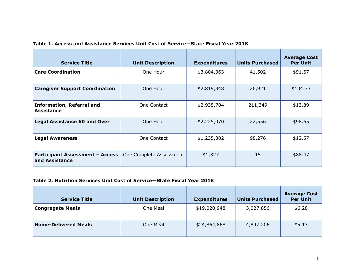| <b>Service Title</b>                                     | <b>Unit Description</b> | <b>Expenditures</b> | <b>Units Purchased</b> | <b>Average Cost</b><br><b>Per Unit</b> |
|----------------------------------------------------------|-------------------------|---------------------|------------------------|----------------------------------------|
| <b>Care Coordination</b>                                 | One Hour                | \$3,804,363         | 41,502                 | \$91.67                                |
| <b>Caregiver Support Coordination</b>                    | One Hour                | \$2,819,348         | 26,921                 | \$104.73                               |
| <b>Information, Referral and</b><br><b>Assistance</b>    | One Contact             | \$2,935,704         | 211,349                | \$13.89                                |
| <b>Legal Assistance 60 and Over</b>                      | One Hour                | \$2,225,070         | 22,556                 | \$98.65                                |
| <b>Legal Awareness</b>                                   | One Contact             | \$1,235,302         | 98,276                 | \$12.57                                |
| <b>Participant Assessment - Access</b><br>and Assistance | One Complete Assessment | \$1,327             | 15                     | \$88.47                                |

#### **Table 1. Access and Assistance Services Unit Cost of Service—State Fiscal Year 2018**

#### **Table 2. Nutrition Services Unit Cost of Service—State Fiscal Year 2018**

| <b>Service Title</b>        | <b>Unit Description</b> | <b>Expenditures</b> | <b>Units Purchased</b> | <b>Average Cost</b><br><b>Per Unit</b> |
|-----------------------------|-------------------------|---------------------|------------------------|----------------------------------------|
| <b>Congregate Meals</b>     | One Meal                | \$19,020,948        | 3,027,856              | \$6.28                                 |
| <b>Home-Delivered Meals</b> | One Meal                | \$24,864,868        | 4,847,206              | \$5.13                                 |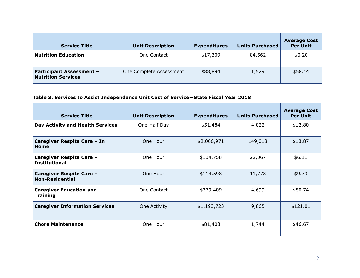| <b>Service Title</b>                                         | <b>Unit Description</b> | <b>Expenditures</b> | <b>Units Purchased</b> | <b>Average Cost</b><br><b>Per Unit</b> |
|--------------------------------------------------------------|-------------------------|---------------------|------------------------|----------------------------------------|
| <b>Nutrition Education</b>                                   | One Contact             | \$17,309            | 84,562                 | \$0.20                                 |
| <b>Participant Assessment -</b><br><b>Nutrition Services</b> | One Complete Assessment | \$88,894            | 1,529                  | \$58.14                                |

#### **Table 3. Services to Assist Independence Unit Cost of Service—State Fiscal Year 2018**

| <b>Service Title</b>                               | <b>Unit Description</b> | <b>Expenditures</b> | <b>Units Purchased</b> | <b>Average Cost</b><br><b>Per Unit</b> |
|----------------------------------------------------|-------------------------|---------------------|------------------------|----------------------------------------|
| Day Activity and Health Services                   | One-Half Day            | \$51,484            | 4,022                  | \$12.80                                |
| Caregiver Respite Care - In<br>Home                | One Hour                | \$2,066,971         | 149,018                | \$13.87                                |
| Caregiver Respite Care -<br><b>Institutional</b>   | One Hour                | \$134,758           | 22,067                 | \$6.11                                 |
| Caregiver Respite Care -<br><b>Non-Residential</b> | One Hour                | \$114,598           | 11,778                 | \$9.73                                 |
| <b>Caregiver Education and</b><br><b>Training</b>  | One Contact             | \$379,409           | 4,699                  | \$80.74                                |
| <b>Caregiver Information Services</b>              | One Activity            | \$1,193,723         | 9,865                  | \$121.01                               |
| <b>Chore Maintenance</b>                           | One Hour                | \$81,403            | 1,744                  | \$46.67                                |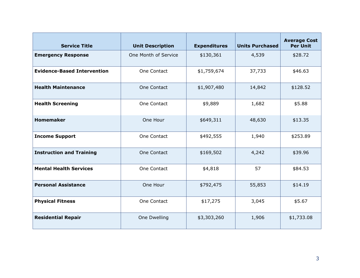| <b>Service Title</b>               | <b>Unit Description</b> | <b>Expenditures</b> | <b>Units Purchased</b> | <b>Average Cost</b><br><b>Per Unit</b> |
|------------------------------------|-------------------------|---------------------|------------------------|----------------------------------------|
| <b>Emergency Response</b>          | One Month of Service    | \$130,361           | 4,539                  | \$28.72                                |
| <b>Evidence-Based Intervention</b> | One Contact             | \$1,759,674         | 37,733                 | \$46.63                                |
| <b>Health Maintenance</b>          | One Contact             | \$1,907,480         | 14,842                 | \$128.52                               |
| <b>Health Screening</b>            | One Contact             | \$9,889             | 1,682                  | \$5.88                                 |
| <b>Homemaker</b>                   | One Hour                | \$649,311           | 48,630                 | \$13.35                                |
| <b>Income Support</b>              | One Contact             | \$492,555           | 1,940                  | \$253.89                               |
| <b>Instruction and Training</b>    | One Contact             | \$169,502           | 4,242                  | \$39.96                                |
| <b>Mental Health Services</b>      | One Contact             | \$4,818             | 57                     | \$84.53                                |
| <b>Personal Assistance</b>         | One Hour                | \$792,475           | 55,853                 | \$14.19                                |
| <b>Physical Fitness</b>            | One Contact             | \$17,275            | 3,045                  | \$5.67                                 |
| <b>Residential Repair</b>          | One Dwelling            | \$3,303,260         | 1,906                  | \$1,733.08                             |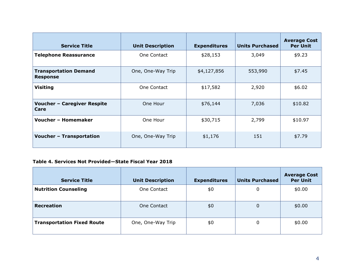| <b>Service Title</b>                            | <b>Unit Description</b> | <b>Expenditures</b> | <b>Units Purchased</b> | <b>Average Cost</b><br><b>Per Unit</b> |
|-------------------------------------------------|-------------------------|---------------------|------------------------|----------------------------------------|
| <b>Telephone Reassurance</b>                    | One Contact             | \$28,153            | 3,049                  | \$9.23                                 |
| <b>Transportation Demand</b><br><b>Response</b> | One, One-Way Trip       | \$4,127,856         | 553,990                | \$7.45                                 |
| <b>Visiting</b>                                 | One Contact             | \$17,582            | 2,920                  | \$6.02                                 |
| <b>Voucher - Caregiver Respite</b><br>Care      | One Hour                | \$76,144            | 7,036                  | \$10.82                                |
| <b>Voucher - Homemaker</b>                      | One Hour                | \$30,715            | 2,799                  | \$10.97                                |
| <b>Voucher - Transportation</b>                 | One, One-Way Trip       | \$1,176             | 151                    | \$7.79                                 |

#### **Table 4. Services Not Provided—State Fiscal Year 2018**

| <b>Service Title</b>              | <b>Unit Description</b> | <b>Expenditures</b> | <b>Units Purchased</b> | <b>Average Cost</b><br><b>Per Unit</b> |
|-----------------------------------|-------------------------|---------------------|------------------------|----------------------------------------|
| <b>Nutrition Counseling</b>       | One Contact             | \$0                 | 0                      | \$0.00                                 |
| <b>Recreation</b>                 | One Contact             | \$0                 | 0                      | \$0.00                                 |
| <b>Transportation Fixed Route</b> | One, One-Way Trip       | \$0                 | 0                      | \$0.00                                 |